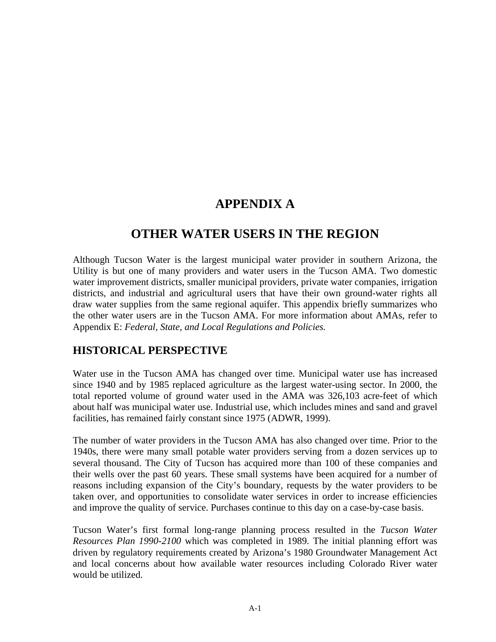# **APPENDIX A**

## **OTHER WATER USERS IN THE REGION**

Although Tucson Water is the largest municipal water provider in southern Arizona, the Utility is but one of many providers and water users in the Tucson AMA. Two domestic water improvement districts, smaller municipal providers, private water companies, irrigation districts, and industrial and agricultural users that have their own ground-water rights all draw water supplies from the same regional aquifer. This appendix briefly summarizes who the other water users are in the Tucson AMA. For more information about AMAs, refer to Appendix E: *Federal, State, and Local Regulations and Policies.* 

#### **HISTORICAL PERSPECTIVE**

Water use in the Tucson AMA has changed over time. Municipal water use has increased since 1940 and by 1985 replaced agriculture as the largest water-using sector. In 2000, the total reported volume of ground water used in the AMA was 326,103 acre-feet of which about half was municipal water use. Industrial use, which includes mines and sand and gravel facilities, has remained fairly constant since 1975 (ADWR, 1999).

The number of water providers in the Tucson AMA has also changed over time. Prior to the 1940s, there were many small potable water providers serving from a dozen services up to several thousand. The City of Tucson has acquired more than 100 of these companies and their wells over the past 60 years. These small systems have been acquired for a number of reasons including expansion of the City's boundary, requests by the water providers to be taken over, and opportunities to consolidate water services in order to increase efficiencies and improve the quality of service. Purchases continue to this day on a case-by-case basis.

Tucson Water's first formal long-range planning process resulted in the *Tucson Water Resources Plan 1990-2100* which was completed in 1989. The initial planning effort was driven by regulatory requirements created by Arizona's 1980 Groundwater Management Act and local concerns about how available water resources including Colorado River water would be utilized.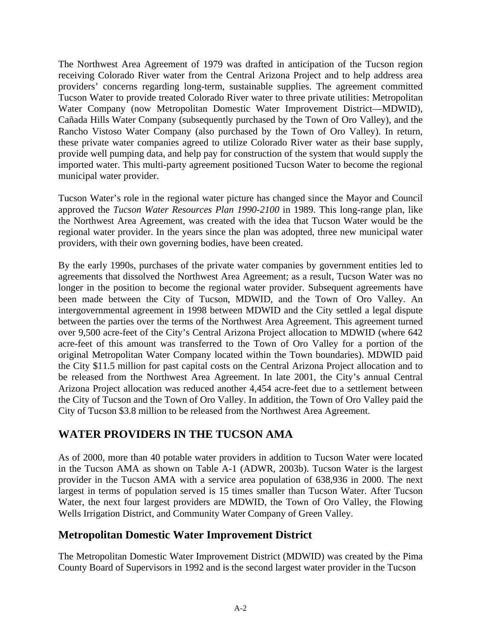The Northwest Area Agreement of 1979 was drafted in anticipation of the Tucson region receiving Colorado River water from the Central Arizona Project and to help address area providers' concerns regarding long-term, sustainable supplies. The agreement committed Tucson Water to provide treated Colorado River water to three private utilities: Metropolitan Water Company (now Metropolitan Domestic Water Improvement District—MDWID), Cañada Hills Water Company (subsequently purchased by the Town of Oro Valley), and the Rancho Vistoso Water Company (also purchased by the Town of Oro Valley). In return, these private water companies agreed to utilize Colorado River water as their base supply, provide well pumping data, and help pay for construction of the system that would supply the imported water. This multi-party agreement positioned Tucson Water to become the regional municipal water provider.

Tucson Water's role in the regional water picture has changed since the Mayor and Council approved the *Tucson Water Resources Plan 1990-2100* in 1989. This long-range plan, like the Northwest Area Agreement, was created with the idea that Tucson Water would be the regional water provider. In the years since the plan was adopted, three new municipal water providers, with their own governing bodies, have been created.

By the early 1990s, purchases of the private water companies by government entities led to agreements that dissolved the Northwest Area Agreement; as a result, Tucson Water was no longer in the position to become the regional water provider. Subsequent agreements have been made between the City of Tucson, MDWID, and the Town of Oro Valley. An intergovernmental agreement in 1998 between MDWID and the City settled a legal dispute between the parties over the terms of the Northwest Area Agreement. This agreement turned over 9,500 acre-feet of the City's Central Arizona Project allocation to MDWID (where 642 acre-feet of this amount was transferred to the Town of Oro Valley for a portion of the original Metropolitan Water Company located within the Town boundaries). MDWID paid the City \$11.5 million for past capital costs on the Central Arizona Project allocation and to be released from the Northwest Area Agreement. In late 2001, the City's annual Central Arizona Project allocation was reduced another 4,454 acre-feet due to a settlement between the City of Tucson and the Town of Oro Valley. In addition, the Town of Oro Valley paid the City of Tucson \$3.8 million to be released from the Northwest Area Agreement.

#### **WATER PROVIDERS IN THE TUCSON AMA**

As of 2000, more than 40 potable water providers in addition to Tucson Water were located in the Tucson AMA as shown on Table A-1 (ADWR, 2003b). Tucson Water is the largest provider in the Tucson AMA with a service area population of 638,936 in 2000. The next largest in terms of population served is 15 times smaller than Tucson Water. After Tucson Water, the next four largest providers are MDWID, the Town of Oro Valley, the Flowing Wells Irrigation District, and Community Water Company of Green Valley.

#### **Metropolitan Domestic Water Improvement District**

The Metropolitan Domestic Water Improvement District (MDWID) was created by the Pima County Board of Supervisors in 1992 and is the second largest water provider in the Tucson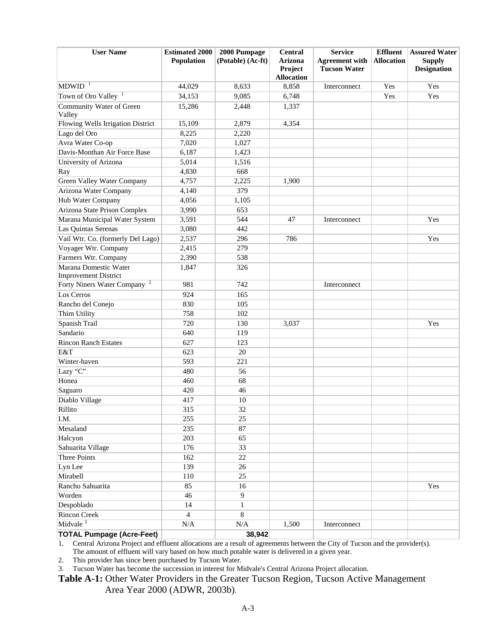| <b>User Name</b>                                      | <b>Estimated 2000</b><br>Population | 2000 Pumpage<br>(Potable) (Ac-ft) | <b>Central</b><br><b>Arizona</b><br>Project | <b>Service</b><br><b>Agreement with</b><br><b>Tucson Water</b> | <b>Effluent</b><br><b>Allocation</b> | <b>Assured Water</b><br><b>Supply</b><br><b>Designation</b> |
|-------------------------------------------------------|-------------------------------------|-----------------------------------|---------------------------------------------|----------------------------------------------------------------|--------------------------------------|-------------------------------------------------------------|
| <b>MDWID</b>                                          | 44,029                              | 8,633                             | <b>Allocation</b><br>8,858                  | Interconnect                                                   | Yes                                  | Yes                                                         |
| Town of Oro Valley                                    | 34,153                              | 9,085                             | 6,748                                       |                                                                | Yes                                  | Yes                                                         |
| Community Water of Green                              |                                     |                                   |                                             |                                                                |                                      |                                                             |
| Valley                                                | 15,286                              | 2,448                             | 1,337                                       |                                                                |                                      |                                                             |
| Flowing Wells Irrigation District                     | 15,109                              | 2,879                             | 4,354                                       |                                                                |                                      |                                                             |
| Lago del Oro                                          | 8,225                               | 2,220                             |                                             |                                                                |                                      |                                                             |
| Avra Water Co-op                                      | 7,020                               | 1,027                             |                                             |                                                                |                                      |                                                             |
| Davis-Monthan Air Force Base                          | 6,187                               | 1,423                             |                                             |                                                                |                                      |                                                             |
| University of Arizona                                 | 5,014                               | 1,516                             |                                             |                                                                |                                      |                                                             |
| Ray                                                   | 4,830                               | 668                               |                                             |                                                                |                                      |                                                             |
| Green Valley Water Company                            | 4,757                               | 2,225                             | 1,900                                       |                                                                |                                      |                                                             |
| Arizona Water Company                                 | 4,140                               | 379                               |                                             |                                                                |                                      |                                                             |
| Hub Water Company                                     | 4,056                               | 1,105                             |                                             |                                                                |                                      |                                                             |
| Arizona State Prison Complex                          | 3,990                               | 653                               |                                             |                                                                |                                      |                                                             |
| Marana Municipal Water System                         | 3,591                               | 544                               | 47                                          | Interconnect                                                   |                                      | Yes                                                         |
| Las Quintas Serenas                                   | 3,080                               | 442                               |                                             |                                                                |                                      |                                                             |
| Vail Wtr. Co. (formerly Del Lago)                     | 2,537                               | 296                               | 786                                         |                                                                |                                      | Yes                                                         |
| Voyager Wtr. Company                                  | 2,415                               | 279                               |                                             |                                                                |                                      |                                                             |
| Farmers Wtr. Company                                  | 2,390                               | 538                               |                                             |                                                                |                                      |                                                             |
| Marana Domestic Water                                 | 1,847                               | 326                               |                                             |                                                                |                                      |                                                             |
| <b>Improvement District</b>                           |                                     |                                   |                                             |                                                                |                                      |                                                             |
| $\overline{\mathbf{c}}$<br>Forty Niners Water Company | 981                                 | 742                               |                                             | Interconnect                                                   |                                      |                                                             |
| Los Cerros                                            | 924                                 | 165                               |                                             |                                                                |                                      |                                                             |
| Rancho del Conejo                                     | 830                                 | 105                               |                                             |                                                                |                                      |                                                             |
| Thim Utility                                          | 758                                 | 102                               |                                             |                                                                |                                      |                                                             |
| Spanish Trail                                         | 720                                 | 130                               | 3,037                                       |                                                                |                                      | Yes                                                         |
| Sandario                                              | 640                                 | 119                               |                                             |                                                                |                                      |                                                             |
| <b>Rincon Ranch Estates</b>                           | 627                                 | 123                               |                                             |                                                                |                                      |                                                             |
| E&T                                                   | 623                                 | 20                                |                                             |                                                                |                                      |                                                             |
| Winter-haven                                          | 593                                 | 221                               |                                             |                                                                |                                      |                                                             |
| Lazy "C"                                              | 480                                 | 56                                |                                             |                                                                |                                      |                                                             |
| Honea                                                 | 460                                 | 68                                |                                             |                                                                |                                      |                                                             |
| Saguaro                                               | 420                                 | 46                                |                                             |                                                                |                                      |                                                             |
| Diablo Village                                        | 417                                 | 10                                |                                             |                                                                |                                      |                                                             |
| Rillito                                               | 315                                 | 32                                |                                             |                                                                |                                      |                                                             |
| I.M.                                                  | 255                                 | 25                                |                                             |                                                                |                                      |                                                             |
| Mesaland                                              | 235                                 | 87                                |                                             |                                                                |                                      |                                                             |
| Halcyon                                               | 203                                 | 65                                |                                             |                                                                |                                      |                                                             |
| Sahuarita Village                                     | 176                                 | 33                                |                                             |                                                                |                                      |                                                             |
| <b>Three Points</b>                                   | 162                                 | $22\,$                            |                                             |                                                                |                                      |                                                             |
| Lyn Lee                                               | 139                                 | $26\,$                            |                                             |                                                                |                                      |                                                             |
| Mirabell                                              | 110                                 | 25                                |                                             |                                                                |                                      |                                                             |
| Rancho Sahuarita                                      | 85                                  | 16                                |                                             |                                                                |                                      | Yes                                                         |
| Worden                                                | 46                                  | $\overline{9}$                    |                                             |                                                                |                                      |                                                             |
| Despoblado                                            | 14                                  | $\mathbf{1}$                      |                                             |                                                                |                                      |                                                             |
| <b>Rincon Creek</b>                                   | $\overline{4}$                      | 8                                 |                                             |                                                                |                                      |                                                             |
| Midvale <sup>3</sup>                                  | N/A                                 | N/A                               | 1,500                                       | Interconnect                                                   |                                      |                                                             |
| <b>TOTAL Pumpage (Acre-Feet)</b>                      |                                     | 38,942                            |                                             |                                                                |                                      |                                                             |

1. Central Arizona Project and effluent allocations are a result of agreements between the City of Tucson and the provider(s).

The amount of effluent will vary based on how much potable water is delivered in a given year.

2. This provider has since been purchased by Tucson Water.

3. Tucson Water has become the succession in interest for Midvale's Central Arizona Project allocation.

**Table A-1:** Other Water Providers in the Greater Tucson Region, Tucson Active Management Area Year 2000 (ADWR, 2003b).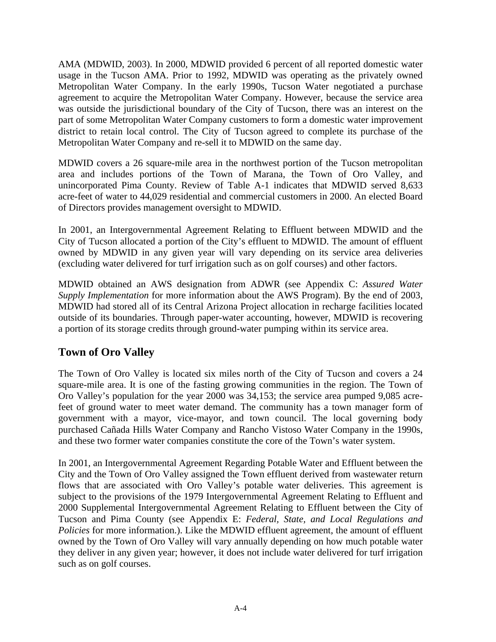AMA (MDWID, 2003). In 2000, MDWID provided 6 percent of all reported domestic water usage in the Tucson AMA. Prior to 1992, MDWID was operating as the privately owned Metropolitan Water Company. In the early 1990s, Tucson Water negotiated a purchase agreement to acquire the Metropolitan Water Company. However, because the service area was outside the jurisdictional boundary of the City of Tucson, there was an interest on the part of some Metropolitan Water Company customers to form a domestic water improvement district to retain local control. The City of Tucson agreed to complete its purchase of the Metropolitan Water Company and re-sell it to MDWID on the same day.

MDWID covers a 26 square-mile area in the northwest portion of the Tucson metropolitan area and includes portions of the Town of Marana, the Town of Oro Valley, and unincorporated Pima County. Review of Table A-1 indicates that MDWID served 8,633 acre-feet of water to 44,029 residential and commercial customers in 2000. An elected Board of Directors provides management oversight to MDWID.

In 2001, an Intergovernmental Agreement Relating to Effluent between MDWID and the City of Tucson allocated a portion of the City's effluent to MDWID. The amount of effluent owned by MDWID in any given year will vary depending on its service area deliveries (excluding water delivered for turf irrigation such as on golf courses) and other factors.

MDWID obtained an AWS designation from ADWR (see Appendix C: *Assured Water Supply Implementation* for more information about the AWS Program). By the end of 2003, MDWID had stored all of its Central Arizona Project allocation in recharge facilities located outside of its boundaries. Through paper-water accounting, however, MDWID is recovering a portion of its storage credits through ground-water pumping within its service area.

### **Town of Oro Valley**

The Town of Oro Valley is located six miles north of the City of Tucson and covers a 24 square-mile area. It is one of the fasting growing communities in the region. The Town of Oro Valley's population for the year 2000 was 34,153; the service area pumped 9,085 acrefeet of ground water to meet water demand. The community has a town manager form of government with a mayor, vice-mayor, and town council. The local governing body purchased Cañada Hills Water Company and Rancho Vistoso Water Company in the 1990s, and these two former water companies constitute the core of the Town's water system.

In 2001, an Intergovernmental Agreement Regarding Potable Water and Effluent between the City and the Town of Oro Valley assigned the Town effluent derived from wastewater return flows that are associated with Oro Valley's potable water deliveries. This agreement is subject to the provisions of the 1979 Intergovernmental Agreement Relating to Effluent and 2000 Supplemental Intergovernmental Agreement Relating to Effluent between the City of Tucson and Pima County (see Appendix E: *Federal, State, and Local Regulations and Policies* for more information.). Like the MDWID effluent agreement, the amount of effluent owned by the Town of Oro Valley will vary annually depending on how much potable water they deliver in any given year; however, it does not include water delivered for turf irrigation such as on golf courses.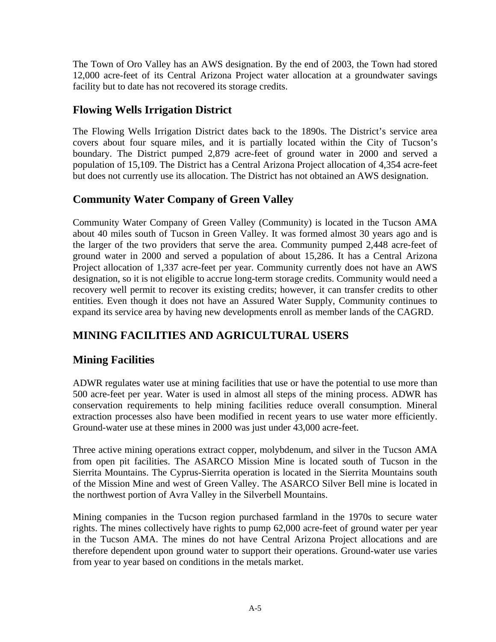The Town of Oro Valley has an AWS designation. By the end of 2003, the Town had stored 12,000 acre-feet of its Central Arizona Project water allocation at a groundwater savings facility but to date has not recovered its storage credits.

### **Flowing Wells Irrigation District**

The Flowing Wells Irrigation District dates back to the 1890s. The District's service area covers about four square miles, and it is partially located within the City of Tucson's boundary. The District pumped 2,879 acre-feet of ground water in 2000 and served a population of 15,109. The District has a Central Arizona Project allocation of 4,354 acre-feet but does not currently use its allocation. The District has not obtained an AWS designation.

## **Community Water Company of Green Valley**

Community Water Company of Green Valley (Community) is located in the Tucson AMA about 40 miles south of Tucson in Green Valley. It was formed almost 30 years ago and is the larger of the two providers that serve the area. Community pumped 2,448 acre-feet of ground water in 2000 and served a population of about 15,286. It has a Central Arizona Project allocation of 1,337 acre-feet per year. Community currently does not have an AWS designation, so it is not eligible to accrue long-term storage credits. Community would need a recovery well permit to recover its existing credits; however, it can transfer credits to other entities. Even though it does not have an Assured Water Supply, Community continues to expand its service area by having new developments enroll as member lands of the CAGRD.

## **MINING FACILITIES AND AGRICULTURAL USERS**

### **Mining Facilities**

ADWR regulates water use at mining facilities that use or have the potential to use more than 500 acre-feet per year. Water is used in almost all steps of the mining process. ADWR has conservation requirements to help mining facilities reduce overall consumption. Mineral extraction processes also have been modified in recent years to use water more efficiently. Ground-water use at these mines in 2000 was just under 43,000 acre-feet.

Three active mining operations extract copper, molybdenum, and silver in the Tucson AMA from open pit facilities. The ASARCO Mission Mine is located south of Tucson in the Sierrita Mountains. The Cyprus-Sierrita operation is located in the Sierrita Mountains south of the Mission Mine and west of Green Valley. The ASARCO Silver Bell mine is located in the northwest portion of Avra Valley in the Silverbell Mountains.

Mining companies in the Tucson region purchased farmland in the 1970s to secure water rights. The mines collectively have rights to pump 62,000 acre-feet of ground water per year in the Tucson AMA. The mines do not have Central Arizona Project allocations and are therefore dependent upon ground water to support their operations. Ground-water use varies from year to year based on conditions in the metals market.